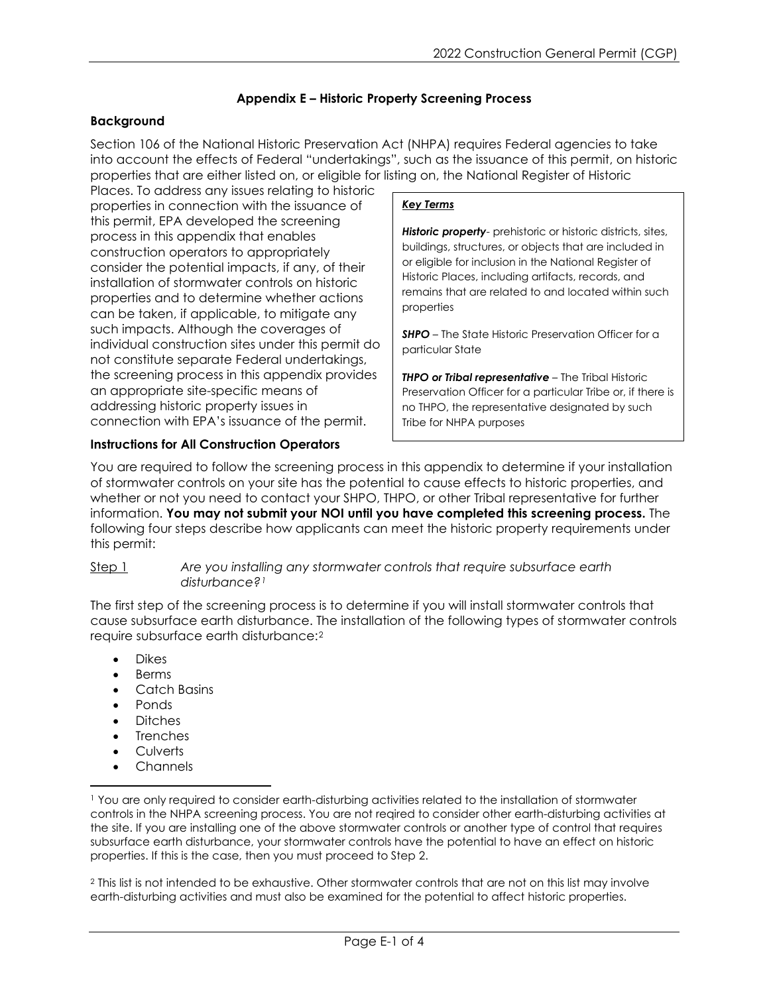# **Appendix E – Historic Property Screening Process**

# **Background**

Section 106 of the National Historic Preservation Act (NHPA) requires Federal agencies to take into account the effects of Federal "undertakings", such as the issuance of this permit, on historic properties that are either listed on, or eligible for listing on, the National Register of Historic

Places. To address any issues relating to historic properties in connection with the issuance of this permit, EPA developed the screening process in this appendix that enables construction operators to appropriately consider the potential impacts, if any, of their installation of stormwater controls on historic properties and to determine whether actions can be taken, if applicable, to mitigate any such impacts. Although the coverages of individual construction sites under this permit do not constitute separate Federal undertakings, the screening process in this appendix provides an appropriate site-specific means of addressing historic property issues in connection with EPA's issuance of the permit.

## *Key Terms*

*Historic property*- prehistoric or historic districts, sites, buildings, structures, or objects that are included in or eligible for inclusion in the National Register of Historic Places, including artifacts, records, and remains that are related to and located within such properties

**SHPO** – The State Historic Preservation Officer for a particular State

*THPO or Tribal representative* – The Tribal Historic Preservation Officer for a particular Tribe or, if there is no THPO, the representative designated by such Tribe for NHPA purposes

# **Instructions for All Construction Operators**

You are required to follow the screening process in this appendix to determine if your installation of stormwater controls on your site has the potential to cause effects to historic properties, and whether or not you need to contact your SHPO, THPO, or other Tribal representative for further information. **You may not submit your NOI until you have completed this screening process.** The following four steps describe how applicants can meet the historic property requirements under this permit:

## Step 1 *Are you installing any stormwater controls that require subsurface earth disturbance?[1](#page-0-0)*

The first step of the screening process is to determine if you will install stormwater controls that cause subsurface earth disturbance. The installation of the following types of stormwater controls require subsurface earth disturbance:[2](#page-0-1) 

- Dikes
- Berms
- Catch Basins
- Ponds
- Ditches
- **Trenches**
- **Culverts**
- Channels

<span id="page-0-0"></span><sup>1</sup> You are only required to consider earth-disturbing activities related to the installation of stormwater controls in the NHPA screening process. You are not reqired to consider other earth-disturbing activities at the site. If you are installing one of the above stormwater controls or another type of control that requires subsurface earth disturbance, your stormwater controls have the potential to have an effect on historic properties. If this is the case, then you must proceed to Step 2.

<span id="page-0-1"></span><sup>2</sup> This list is not intended to be exhaustive. Other stormwater controls that are not on this list may involve earth-disturbing activities and must also be examined for the potential to affect historic properties.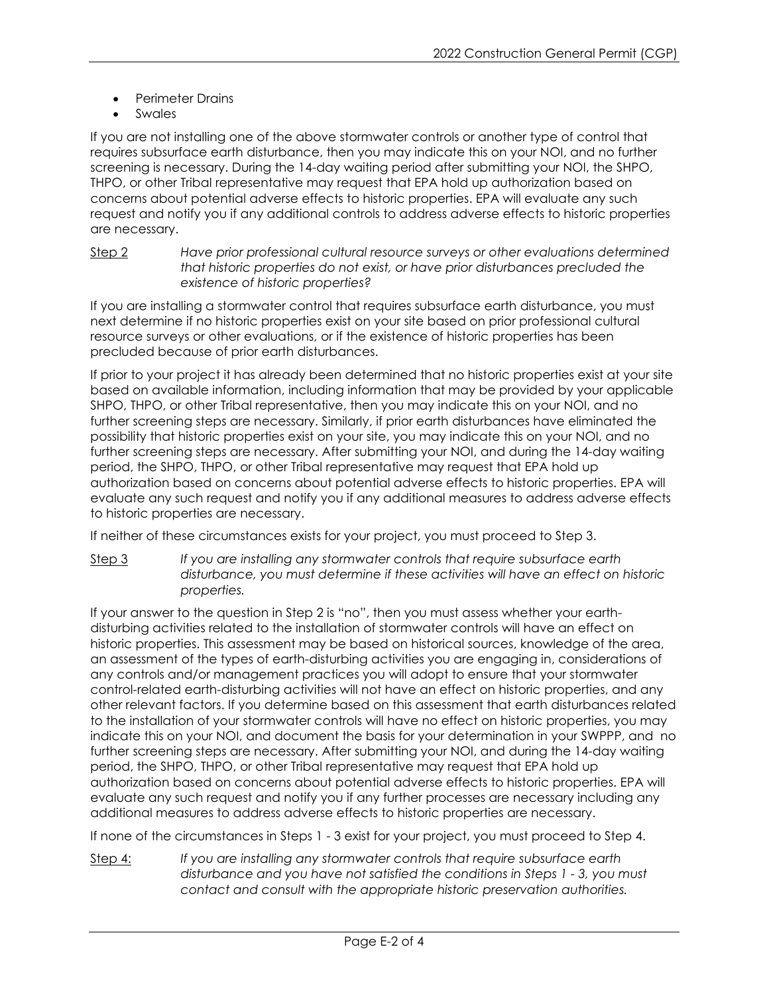- Perimeter Drains
- **Swales**

If you are not installing one of the above stormwater controls or another type of control that requires subsurface earth disturbance, then you may indicate this on your NOI, and no further screening is necessary. During the 14-day waiting period after submitting your NOI, the SHPO, THPO, or other Tribal representative may request that EPA hold up authorization based on concerns about potential adverse effects to historic properties. EPA will evaluate any such request and notify you if any additional controls to address adverse effects to historic properties are necessary.

Step 2 *Have prior professional cultural resource surveys or other evaluations determined that historic properties do not exist, or have prior disturbances precluded the existence of historic properties?*

If you are installing a stormwater control that requires subsurface earth disturbance, you must next determine if no historic properties exist on your site based on prior professional cultural resource surveys or other evaluations, or if the existence of historic properties has been precluded because of prior earth disturbances.

If prior to your project it has already been determined that no historic properties exist at your site based on available information, including information that may be provided by your applicable SHPO, THPO, or other Tribal representative, then you may indicate this on your NOI, and no further screening steps are necessary. Similarly, if prior earth disturbances have eliminated the possibility that historic properties exist on your site, you may indicate this on your NOI, and no further screening steps are necessary. After submitting your NOI, and during the 14-day waiting period, the SHPO, THPO, or other Tribal representative may request that EPA hold up authorization based on concerns about potential adverse effects to historic properties. EPA will evaluate any such request and notify you if any additional measures to address adverse effects to historic properties are necessary.

If neither of these circumstances exists for your project, you must proceed to Step 3.

Step 3 *If you are installing any stormwater controls that require subsurface earth disturbance, you must determine if these activities will have an effect on historic properties.*

If your answer to the question in Step 2 is "no", then you must assess whether your earthdisturbing activities related to the installation of stormwater controls will have an effect on historic properties. This assessment may be based on historical sources, knowledge of the area, an assessment of the types of earth-disturbing activities you are engaging in, considerations of any controls and/or management practices you will adopt to ensure that your stormwater control-related earth-disturbing activities will not have an effect on historic properties, and any other relevant factors. If you determine based on this assessment that earth disturbances related to the installation of your stormwater controls will have no effect on historic properties, you may indicate this on your NOI, and document the basis for your determination in your SWPPP, and no further screening steps are necessary. After submitting your NOI, and during the 14-day waiting period, the SHPO, THPO, or other Tribal representative may request that EPA hold up authorization based on concerns about potential adverse effects to historic properties. EPA will evaluate any such request and notify you if any further processes are necessary including any additional measures to address adverse effects to historic properties are necessary.

If none of the circumstances in Steps 1 - 3 exist for your project, you must proceed to Step 4.

Step 4: *If you are installing any stormwater controls that require subsurface earth disturbance and you have not satisfied the conditions in Steps 1 - 3, you must contact and consult with the appropriate historic preservation authorities.*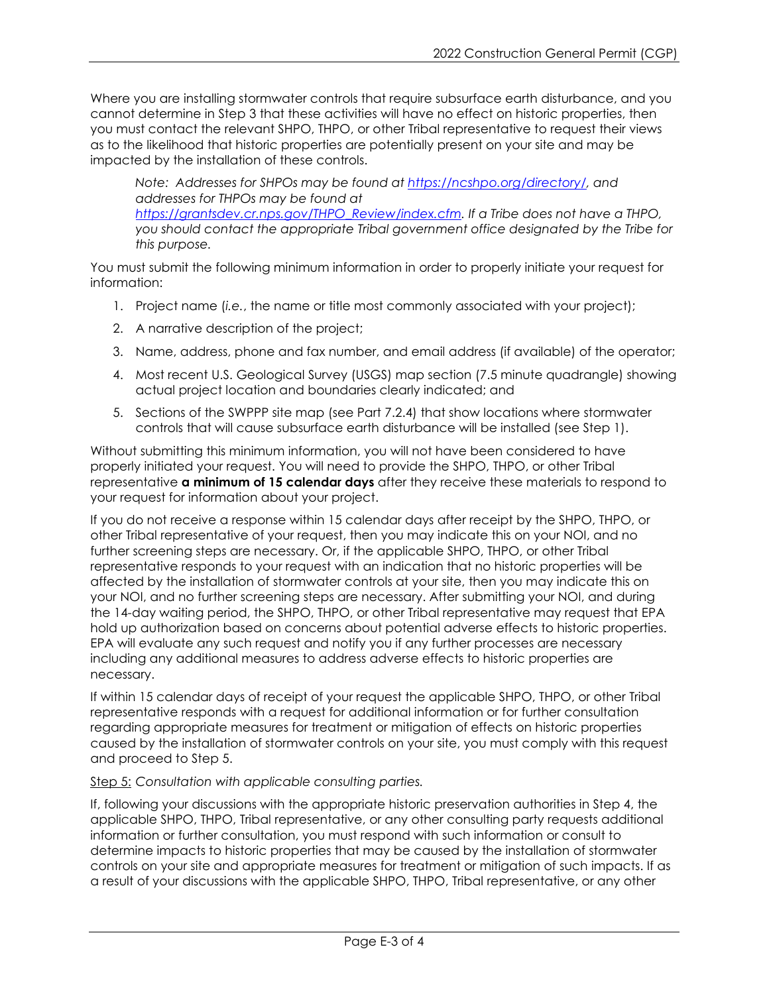Where you are installing stormwater controls that require subsurface earth disturbance, and you cannot determine in Step 3 that these activities will have no effect on historic properties, then you must contact the relevant SHPO, THPO, or other Tribal representative to request their views as to the likelihood that historic properties are potentially present on your site and may be impacted by the installation of these controls.

*Note: Addresses for SHPOs may be found at [https://ncshpo.org/directory/,](https://ncshpo.org/directory/) and addresses for THPOs may be found at [https://grantsdev.cr.nps.gov/THPO\\_Review/index.cfm.](https://grantsdev.cr.nps.gov/THPO_Review/index.cfm) If a Tribe does not have a THPO, you should contact the appropriate Tribal government office designated by the Tribe for this purpose.*

You must submit the following minimum information in order to properly initiate your request for information:

- 1. Project name (*i.e.*, the name or title most commonly associated with your project);
- 2. A narrative description of the project;
- 3. Name, address, phone and fax number, and email address (if available) of the operator;
- 4. Most recent U.S. Geological Survey (USGS) map section (7.5 minute quadrangle) showing actual project location and boundaries clearly indicated; and
- 5. Sections of the SWPPP site map (see Part 7.2.4) that show locations where stormwater controls that will cause subsurface earth disturbance will be installed (see Step 1).

Without submitting this minimum information, you will not have been considered to have properly initiated your request. You will need to provide the SHPO, THPO, or other Tribal representative **a minimum of 15 calendar days** after they receive these materials to respond to your request for information about your project.

If you do not receive a response within 15 calendar days after receipt by the SHPO, THPO, or other Tribal representative of your request, then you may indicate this on your NOI, and no further screening steps are necessary. Or, if the applicable SHPO, THPO, or other Tribal representative responds to your request with an indication that no historic properties will be affected by the installation of stormwater controls at your site, then you may indicate this on your NOI, and no further screening steps are necessary. After submitting your NOI, and during the 14-day waiting period, the SHPO, THPO, or other Tribal representative may request that EPA hold up authorization based on concerns about potential adverse effects to historic properties. EPA will evaluate any such request and notify you if any further processes are necessary including any additional measures to address adverse effects to historic properties are necessary.

If within 15 calendar days of receipt of your request the applicable SHPO, THPO, or other Tribal representative responds with a request for additional information or for further consultation regarding appropriate measures for treatment or mitigation of effects on historic properties caused by the installation of stormwater controls on your site, you must comply with this request and proceed to Step 5.

#### Step 5: *Consultation with applicable consulting parties.*

If, following your discussions with the appropriate historic preservation authorities in Step 4, the applicable SHPO, THPO, Tribal representative, or any other consulting party requests additional information or further consultation, you must respond with such information or consult to determine impacts to historic properties that may be caused by the installation of stormwater controls on your site and appropriate measures for treatment or mitigation of such impacts. If as a result of your discussions with the applicable SHPO, THPO, Tribal representative, or any other